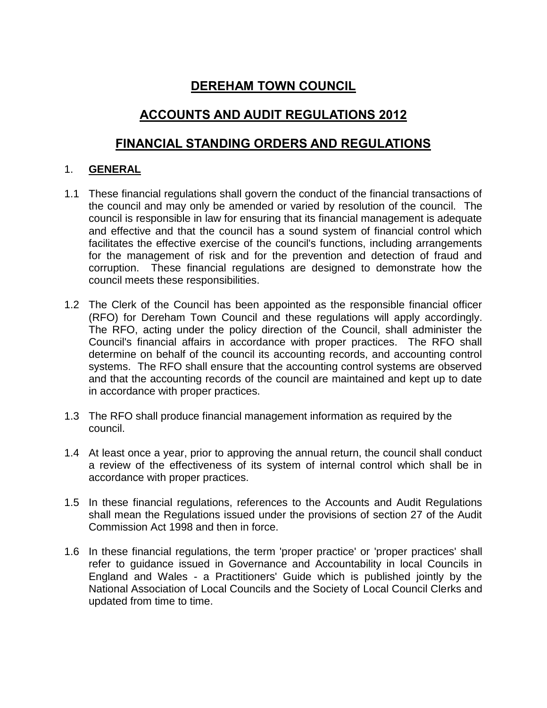# **DEREHAM TOWN COUNCIL**

# **ACCOUNTS AND AUDIT REGULATIONS 2012**

## **FINANCIAL STANDING ORDERS AND REGULATIONS**

### 1. **GENERAL**

- 1.1 These financial regulations shall govern the conduct of the financial transactions of the council and may only be amended or varied by resolution of the council. The council is responsible in law for ensuring that its financial management is adequate and effective and that the council has a sound system of financial control which facilitates the effective exercise of the council's functions, including arrangements for the management of risk and for the prevention and detection of fraud and corruption. These financial regulations are designed to demonstrate how the council meets these responsibilities.
- 1.2 The Clerk of the Council has been appointed as the responsible financial officer (RFO) for Dereham Town Council and these regulations will apply accordingly. The RFO, acting under the policy direction of the Council, shall administer the Council's financial affairs in accordance with proper practices. The RFO shall determine on behalf of the council its accounting records, and accounting control systems. The RFO shall ensure that the accounting control systems are observed and that the accounting records of the council are maintained and kept up to date in accordance with proper practices.
- 1.3 The RFO shall produce financial management information as required by the council.
- 1.4 At least once a year, prior to approving the annual return, the council shall conduct a review of the effectiveness of its system of internal control which shall be in accordance with proper practices.
- 1.5 In these financial regulations, references to the Accounts and Audit Regulations shall mean the Regulations issued under the provisions of section 27 of the Audit Commission Act 1998 and then in force.
- 1.6 In these financial regulations, the term 'proper practice' or 'proper practices' shall refer to guidance issued in Governance and Accountability in local Councils in England and Wales - a Practitioners' Guide which is published jointly by the National Association of Local Councils and the Society of Local Council Clerks and updated from time to time.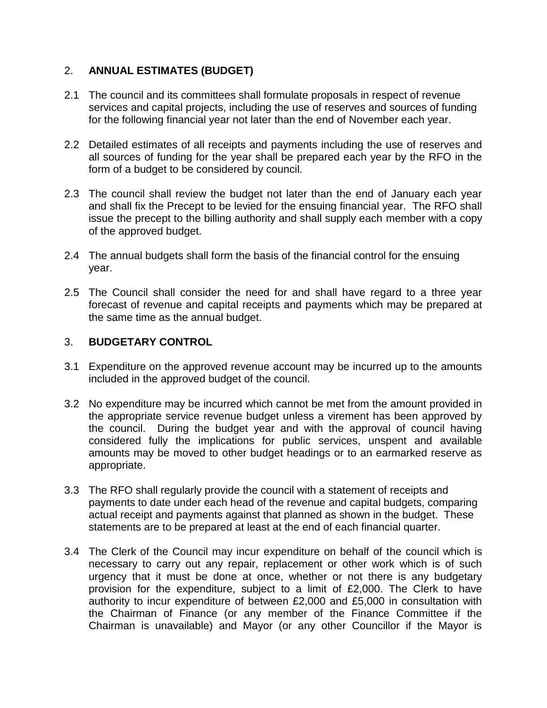## 2. **ANNUAL ESTIMATES (BUDGET)**

- 2.1 The council and its committees shall formulate proposals in respect of revenue services and capital projects, including the use of reserves and sources of funding for the following financial year not later than the end of November each year.
- 2.2 Detailed estimates of all receipts and payments including the use of reserves and all sources of funding for the year shall be prepared each year by the RFO in the form of a budget to be considered by council.
- 2.3 The council shall review the budget not later than the end of January each year and shall fix the Precept to be levied for the ensuing financial year. The RFO shall issue the precept to the billing authority and shall supply each member with a copy of the approved budget.
- 2.4 The annual budgets shall form the basis of the financial control for the ensuing year.
- 2.5 The Council shall consider the need for and shall have regard to a three year forecast of revenue and capital receipts and payments which may be prepared at the same time as the annual budget.

## 3. **BUDGETARY CONTROL**

- 3.1 Expenditure on the approved revenue account may be incurred up to the amounts included in the approved budget of the council.
- 3.2 No expenditure may be incurred which cannot be met from the amount provided in the appropriate service revenue budget unless a virement has been approved by the council. During the budget year and with the approval of council having considered fully the implications for public services, unspent and available amounts may be moved to other budget headings or to an earmarked reserve as appropriate.
- 3.3 The RFO shall regularly provide the council with a statement of receipts and payments to date under each head of the revenue and capital budgets, comparing actual receipt and payments against that planned as shown in the budget. These statements are to be prepared at least at the end of each financial quarter.
- 3.4 The Clerk of the Council may incur expenditure on behalf of the council which is necessary to carry out any repair, replacement or other work which is of such urgency that it must be done at once, whether or not there is any budgetary provision for the expenditure, subject to a limit of £2,000. The Clerk to have authority to incur expenditure of between £2,000 and £5,000 in consultation with the Chairman of Finance (or any member of the Finance Committee if the Chairman is unavailable) and Mayor (or any other Councillor if the Mayor is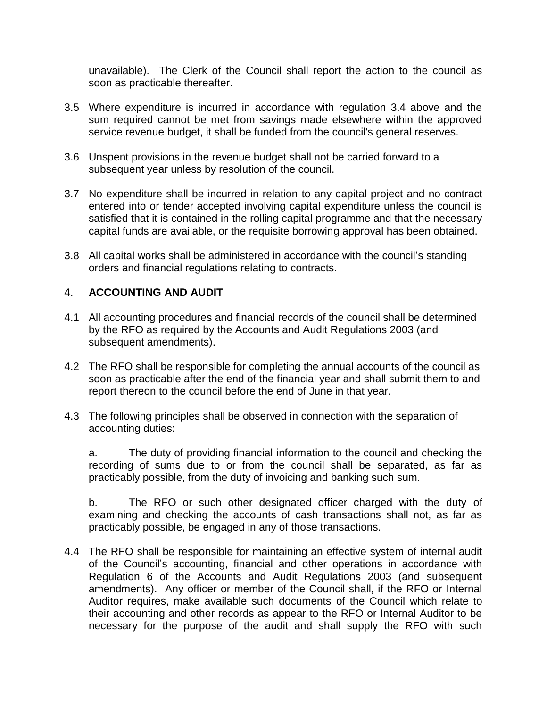unavailable). The Clerk of the Council shall report the action to the council as soon as practicable thereafter.

- 3.5 Where expenditure is incurred in accordance with regulation 3.4 above and the sum required cannot be met from savings made elsewhere within the approved service revenue budget, it shall be funded from the council's general reserves.
- 3.6 Unspent provisions in the revenue budget shall not be carried forward to a subsequent year unless by resolution of the council.
- 3.7 No expenditure shall be incurred in relation to any capital project and no contract entered into or tender accepted involving capital expenditure unless the council is satisfied that it is contained in the rolling capital programme and that the necessary capital funds are available, or the requisite borrowing approval has been obtained.
- 3.8 All capital works shall be administered in accordance with the council's standing orders and financial regulations relating to contracts.

#### 4. **ACCOUNTING AND AUDIT**

- 4.1 All accounting procedures and financial records of the council shall be determined by the RFO as required by the Accounts and Audit Regulations 2003 (and subsequent amendments).
- 4.2 The RFO shall be responsible for completing the annual accounts of the council as soon as practicable after the end of the financial year and shall submit them to and report thereon to the council before the end of June in that year.
- 4.3 The following principles shall be observed in connection with the separation of accounting duties:

a. The duty of providing financial information to the council and checking the recording of sums due to or from the council shall be separated, as far as practicably possible, from the duty of invoicing and banking such sum.

b. The RFO or such other designated officer charged with the duty of examining and checking the accounts of cash transactions shall not, as far as practicably possible, be engaged in any of those transactions.

4.4 The RFO shall be responsible for maintaining an effective system of internal audit of the Council's accounting, financial and other operations in accordance with Regulation 6 of the Accounts and Audit Regulations 2003 (and subsequent amendments). Any officer or member of the Council shall, if the RFO or Internal Auditor requires, make available such documents of the Council which relate to their accounting and other records as appear to the RFO or Internal Auditor to be necessary for the purpose of the audit and shall supply the RFO with such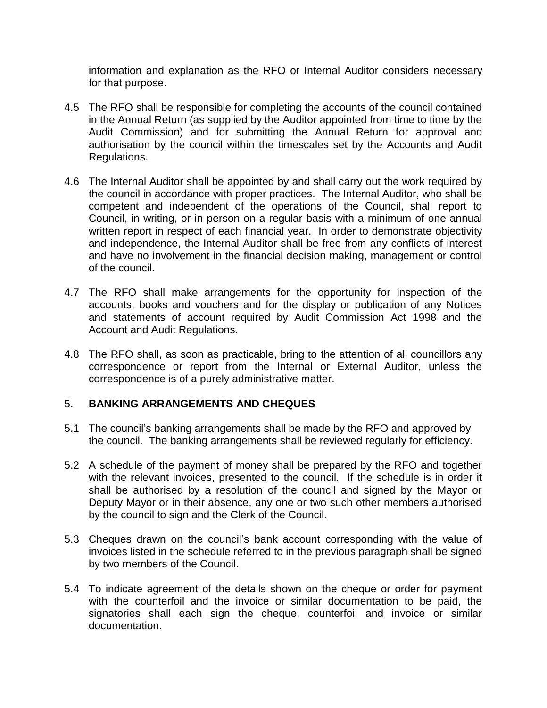information and explanation as the RFO or Internal Auditor considers necessary for that purpose.

- 4.5 The RFO shall be responsible for completing the accounts of the council contained in the Annual Return (as supplied by the Auditor appointed from time to time by the Audit Commission) and for submitting the Annual Return for approval and authorisation by the council within the timescales set by the Accounts and Audit Regulations.
- 4.6 The Internal Auditor shall be appointed by and shall carry out the work required by the council in accordance with proper practices. The Internal Auditor, who shall be competent and independent of the operations of the Council, shall report to Council, in writing, or in person on a regular basis with a minimum of one annual written report in respect of each financial year. In order to demonstrate objectivity and independence, the Internal Auditor shall be free from any conflicts of interest and have no involvement in the financial decision making, management or control of the council.
- 4.7 The RFO shall make arrangements for the opportunity for inspection of the accounts, books and vouchers and for the display or publication of any Notices and statements of account required by Audit Commission Act 1998 and the Account and Audit Regulations.
- 4.8 The RFO shall, as soon as practicable, bring to the attention of all councillors any correspondence or report from the Internal or External Auditor, unless the correspondence is of a purely administrative matter.

#### 5. **BANKING ARRANGEMENTS AND CHEQUES**

- 5.1 The council's banking arrangements shall be made by the RFO and approved by the council. The banking arrangements shall be reviewed regularly for efficiency.
- 5.2 A schedule of the payment of money shall be prepared by the RFO and together with the relevant invoices, presented to the council. If the schedule is in order it shall be authorised by a resolution of the council and signed by the Mayor or Deputy Mayor or in their absence, any one or two such other members authorised by the council to sign and the Clerk of the Council.
- 5.3 Cheques drawn on the council's bank account corresponding with the value of invoices listed in the schedule referred to in the previous paragraph shall be signed by two members of the Council.
- 5.4 To indicate agreement of the details shown on the cheque or order for payment with the counterfoil and the invoice or similar documentation to be paid, the signatories shall each sign the cheque, counterfoil and invoice or similar documentation.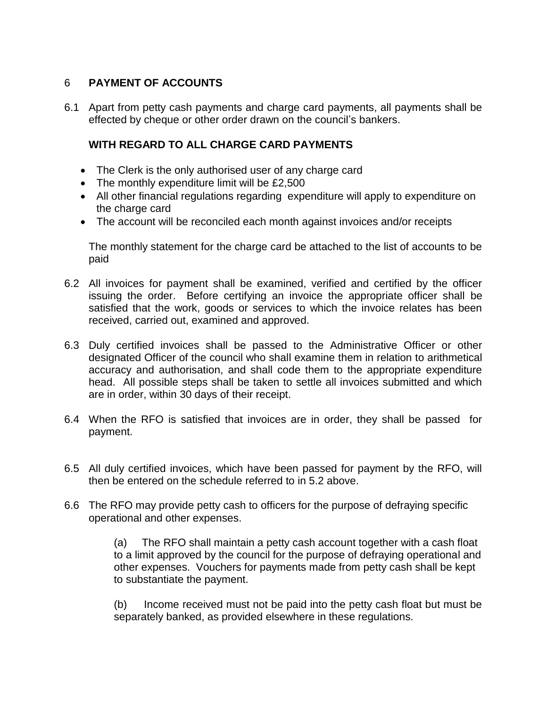## 6 **PAYMENT OF ACCOUNTS**

6.1 Apart from petty cash payments and charge card payments, all payments shall be effected by cheque or other order drawn on the council's bankers.

## **WITH REGARD TO ALL CHARGE CARD PAYMENTS**

- The Clerk is the only authorised user of any charge card
- The monthly expenditure limit will be £2,500
- All other financial regulations regarding expenditure will apply to expenditure on the charge card
- The account will be reconciled each month against invoices and/or receipts

The monthly statement for the charge card be attached to the list of accounts to be paid

- 6.2 All invoices for payment shall be examined, verified and certified by the officer issuing the order. Before certifying an invoice the appropriate officer shall be satisfied that the work, goods or services to which the invoice relates has been received, carried out, examined and approved.
- 6.3 Duly certified invoices shall be passed to the Administrative Officer or other designated Officer of the council who shall examine them in relation to arithmetical accuracy and authorisation, and shall code them to the appropriate expenditure head. All possible steps shall be taken to settle all invoices submitted and which are in order, within 30 days of their receipt.
- 6.4 When the RFO is satisfied that invoices are in order, they shall be passed for payment.
- 6.5 All duly certified invoices, which have been passed for payment by the RFO, will then be entered on the schedule referred to in 5.2 above.
- 6.6 The RFO may provide petty cash to officers for the purpose of defraying specific operational and other expenses.

(a) The RFO shall maintain a petty cash account together with a cash float to a limit approved by the council for the purpose of defraying operational and other expenses. Vouchers for payments made from petty cash shall be kept to substantiate the payment.

(b) Income received must not be paid into the petty cash float but must be separately banked, as provided elsewhere in these regulations.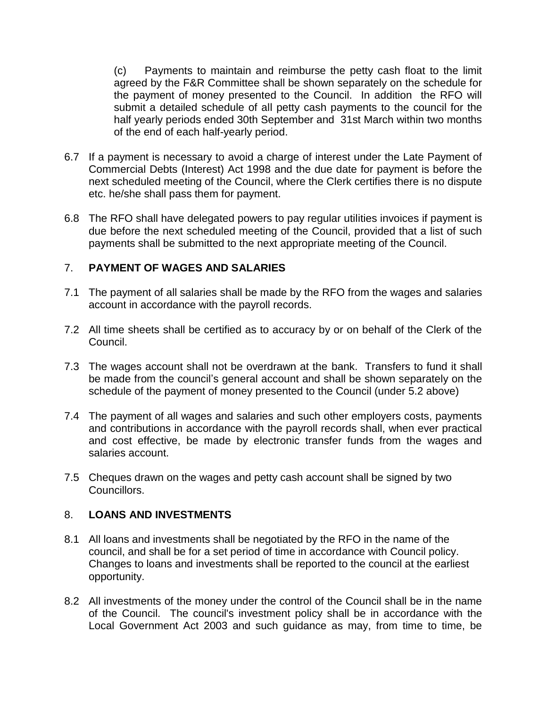(c) Payments to maintain and reimburse the petty cash float to the limit agreed by the F&R Committee shall be shown separately on the schedule for the payment of money presented to the Council. In addition the RFO will submit a detailed schedule of all petty cash payments to the council for the half yearly periods ended 30th September and 31st March within two months of the end of each half-yearly period.

- 6.7 If a payment is necessary to avoid a charge of interest under the Late Payment of Commercial Debts (Interest) Act 1998 and the due date for payment is before the next scheduled meeting of the Council, where the Clerk certifies there is no dispute etc. he/she shall pass them for payment.
- 6.8 The RFO shall have delegated powers to pay regular utilities invoices if payment is due before the next scheduled meeting of the Council, provided that a list of such payments shall be submitted to the next appropriate meeting of the Council.

#### 7. **PAYMENT OF WAGES AND SALARIES**

- 7.1 The payment of all salaries shall be made by the RFO from the wages and salaries account in accordance with the payroll records.
- 7.2 All time sheets shall be certified as to accuracy by or on behalf of the Clerk of the Council.
- 7.3 The wages account shall not be overdrawn at the bank. Transfers to fund it shall be made from the council's general account and shall be shown separately on the schedule of the payment of money presented to the Council (under 5.2 above)
- 7.4 The payment of all wages and salaries and such other employers costs, payments and contributions in accordance with the payroll records shall, when ever practical and cost effective, be made by electronic transfer funds from the wages and salaries account.
- 7.5 Cheques drawn on the wages and petty cash account shall be signed by two Councillors.

#### 8. **LOANS AND INVESTMENTS**

- 8.1 All loans and investments shall be negotiated by the RFO in the name of the council, and shall be for a set period of time in accordance with Council policy. Changes to loans and investments shall be reported to the council at the earliest opportunity.
- 8.2 All investments of the money under the control of the Council shall be in the name of the Council. The council's investment policy shall be in accordance with the Local Government Act 2003 and such guidance as may, from time to time, be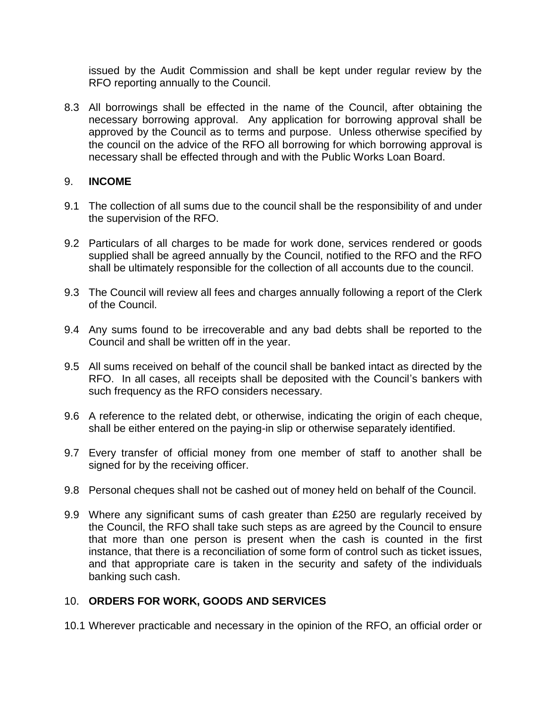issued by the Audit Commission and shall be kept under regular review by the RFO reporting annually to the Council.

8.3 All borrowings shall be effected in the name of the Council, after obtaining the necessary borrowing approval. Any application for borrowing approval shall be approved by the Council as to terms and purpose. Unless otherwise specified by the council on the advice of the RFO all borrowing for which borrowing approval is necessary shall be effected through and with the Public Works Loan Board.

#### 9. **INCOME**

- 9.1 The collection of all sums due to the council shall be the responsibility of and under the supervision of the RFO.
- 9.2 Particulars of all charges to be made for work done, services rendered or goods supplied shall be agreed annually by the Council, notified to the RFO and the RFO shall be ultimately responsible for the collection of all accounts due to the council.
- 9.3 The Council will review all fees and charges annually following a report of the Clerk of the Council.
- 9.4 Any sums found to be irrecoverable and any bad debts shall be reported to the Council and shall be written off in the year.
- 9.5 All sums received on behalf of the council shall be banked intact as directed by the RFO. In all cases, all receipts shall be deposited with the Council's bankers with such frequency as the RFO considers necessary.
- 9.6 A reference to the related debt, or otherwise, indicating the origin of each cheque, shall be either entered on the paying-in slip or otherwise separately identified.
- 9.7 Every transfer of official money from one member of staff to another shall be signed for by the receiving officer.
- 9.8 Personal cheques shall not be cashed out of money held on behalf of the Council.
- 9.9 Where any significant sums of cash greater than £250 are regularly received by the Council, the RFO shall take such steps as are agreed by the Council to ensure that more than one person is present when the cash is counted in the first instance, that there is a reconciliation of some form of control such as ticket issues, and that appropriate care is taken in the security and safety of the individuals banking such cash.

#### 10. **ORDERS FOR WORK, GOODS AND SERVICES**

10.1 Wherever practicable and necessary in the opinion of the RFO, an official order or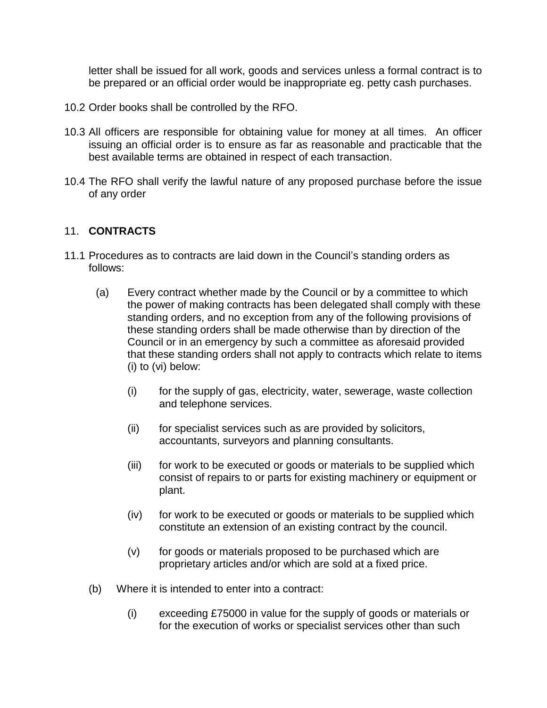letter shall be issued for all work, goods and services unless a formal contract is to be prepared or an official order would be inappropriate eg. petty cash purchases.

- 10.2 Order books shall be controlled by the RFO.
- 10.3 All officers are responsible for obtaining value for money at all times. An officer issuing an official order is to ensure as far as reasonable and practicable that the best available terms are obtained in respect of each transaction.
- 10.4 The RFO shall verify the lawful nature of any proposed purchase before the issue of any order

#### 11. **CONTRACTS**

- 11.1 Procedures as to contracts are laid down in the Council's standing orders as follows:
	- (a) Every contract whether made by the Council or by a committee to which the power of making contracts has been delegated shall comply with these standing orders, and no exception from any of the following provisions of these standing orders shall be made otherwise than by direction of the Council or in an emergency by such a committee as aforesaid provided that these standing orders shall not apply to contracts which relate to items (i) to (vi) below:
		- (i) for the supply of gas, electricity, water, sewerage, waste collection and telephone services.
		- (ii) for specialist services such as are provided by solicitors, accountants, surveyors and planning consultants.
		- (iii) for work to be executed or goods or materials to be supplied which consist of repairs to or parts for existing machinery or equipment or plant.
		- (iv) for work to be executed or goods or materials to be supplied which constitute an extension of an existing contract by the council.
		- (v) for goods or materials proposed to be purchased which are proprietary articles and/or which are sold at a fixed price.
	- (b) Where it is intended to enter into a contract:
		- (i) exceeding £75000 in value for the supply of goods or materials or for the execution of works or specialist services other than such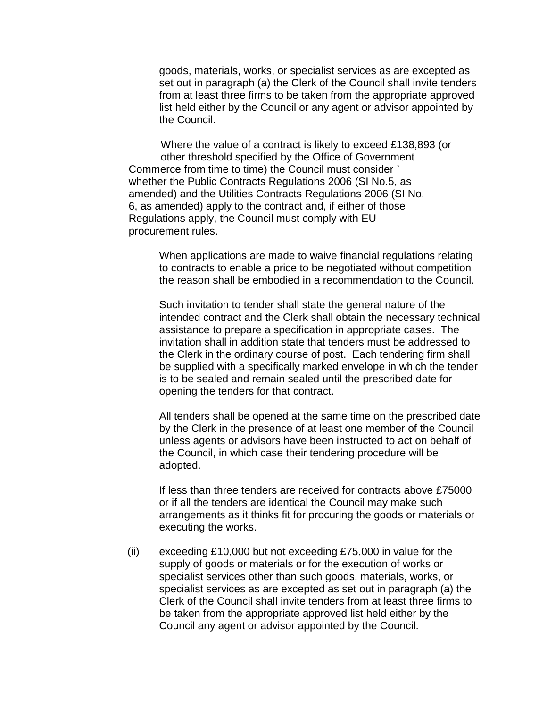goods, materials, works, or specialist services as are excepted as set out in paragraph (a) the Clerk of the Council shall invite tenders from at least three firms to be taken from the appropriate approved list held either by the Council or any agent or advisor appointed by the Council.

Where the value of a contract is likely to exceed £138,893 (or other threshold specified by the Office of Government Commerce from time to time) the Council must consider ` whether the Public Contracts Regulations 2006 (SI No.5, as amended) and the Utilities Contracts Regulations 2006 (SI No. 6, as amended) apply to the contract and, if either of those Regulations apply, the Council must comply with EU procurement rules.

When applications are made to waive financial regulations relating to contracts to enable a price to be negotiated without competition the reason shall be embodied in a recommendation to the Council.

Such invitation to tender shall state the general nature of the intended contract and the Clerk shall obtain the necessary technical assistance to prepare a specification in appropriate cases. The invitation shall in addition state that tenders must be addressed to the Clerk in the ordinary course of post. Each tendering firm shall be supplied with a specifically marked envelope in which the tender is to be sealed and remain sealed until the prescribed date for opening the tenders for that contract.

All tenders shall be opened at the same time on the prescribed date by the Clerk in the presence of at least one member of the Council unless agents or advisors have been instructed to act on behalf of the Council, in which case their tendering procedure will be adopted.

If less than three tenders are received for contracts above £75000 or if all the tenders are identical the Council may make such arrangements as it thinks fit for procuring the goods or materials or executing the works.

(ii) exceeding £10,000 but not exceeding £75,000 in value for the supply of goods or materials or for the execution of works or specialist services other than such goods, materials, works, or specialist services as are excepted as set out in paragraph (a) the Clerk of the Council shall invite tenders from at least three firms to be taken from the appropriate approved list held either by the Council any agent or advisor appointed by the Council.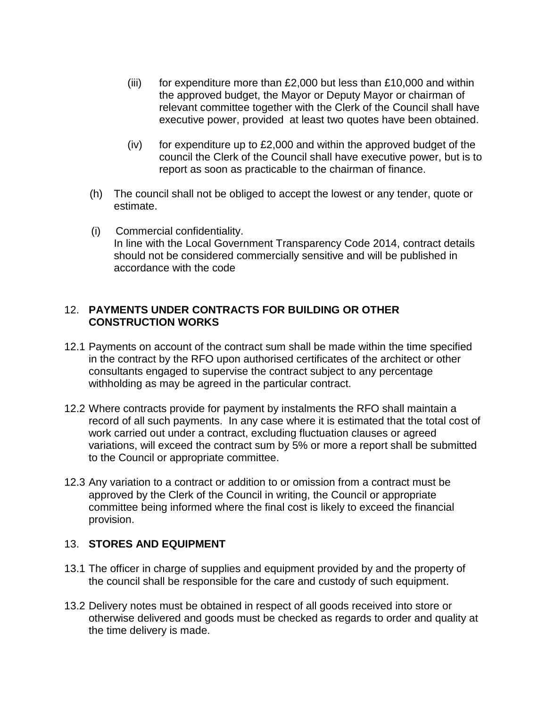- (iii) for expenditure more than  $£2,000$  but less than  $£10,000$  and within the approved budget, the Mayor or Deputy Mayor or chairman of relevant committee together with the Clerk of the Council shall have executive power, provided at least two quotes have been obtained.
- (iv) for expenditure up to  $£2,000$  and within the approved budget of the council the Clerk of the Council shall have executive power, but is to report as soon as practicable to the chairman of finance.
- (h) The council shall not be obliged to accept the lowest or any tender, quote or estimate.
- (i) Commercial confidentiality. In line with the Local Government Transparency Code 2014, contract details should not be considered commercially sensitive and will be published in accordance with the code

#### 12. **PAYMENTS UNDER CONTRACTS FOR BUILDING OR OTHER CONSTRUCTION WORKS**

- 12.1 Payments on account of the contract sum shall be made within the time specified in the contract by the RFO upon authorised certificates of the architect or other consultants engaged to supervise the contract subject to any percentage withholding as may be agreed in the particular contract.
- 12.2 Where contracts provide for payment by instalments the RFO shall maintain a record of all such payments. In any case where it is estimated that the total cost of work carried out under a contract, excluding fluctuation clauses or agreed variations, will exceed the contract sum by 5% or more a report shall be submitted to the Council or appropriate committee.
- 12.3 Any variation to a contract or addition to or omission from a contract must be approved by the Clerk of the Council in writing, the Council or appropriate committee being informed where the final cost is likely to exceed the financial provision.

## 13. **STORES AND EQUIPMENT**

- 13.1 The officer in charge of supplies and equipment provided by and the property of the council shall be responsible for the care and custody of such equipment.
- 13.2 Delivery notes must be obtained in respect of all goods received into store or otherwise delivered and goods must be checked as regards to order and quality at the time delivery is made.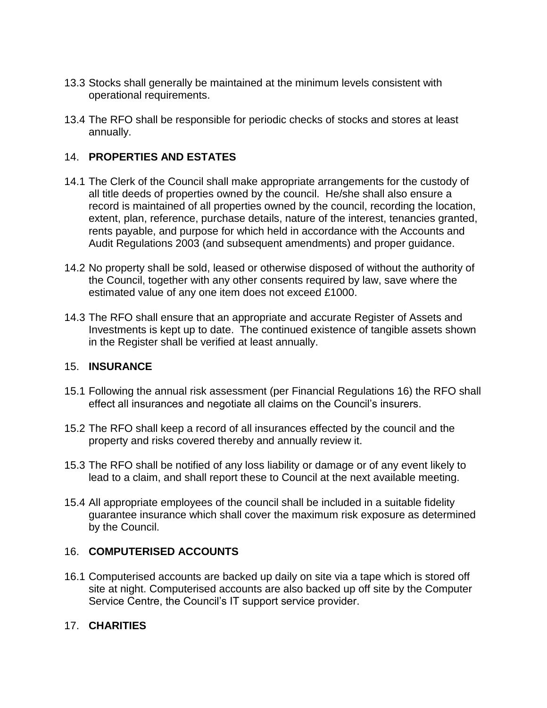- 13.3 Stocks shall generally be maintained at the minimum levels consistent with operational requirements.
- 13.4 The RFO shall be responsible for periodic checks of stocks and stores at least annually.

## 14. **PROPERTIES AND ESTATES**

- 14.1 The Clerk of the Council shall make appropriate arrangements for the custody of all title deeds of properties owned by the council. He/she shall also ensure a record is maintained of all properties owned by the council, recording the location, extent, plan, reference, purchase details, nature of the interest, tenancies granted, rents payable, and purpose for which held in accordance with the Accounts and Audit Regulations 2003 (and subsequent amendments) and proper guidance.
- 14.2 No property shall be sold, leased or otherwise disposed of without the authority of the Council, together with any other consents required by law, save where the estimated value of any one item does not exceed £1000.
- 14.3 The RFO shall ensure that an appropriate and accurate Register of Assets and Investments is kept up to date. The continued existence of tangible assets shown in the Register shall be verified at least annually.

## 15. **INSURANCE**

- 15.1 Following the annual risk assessment (per Financial Regulations 16) the RFO shall effect all insurances and negotiate all claims on the Council's insurers.
- 15.2 The RFO shall keep a record of all insurances effected by the council and the property and risks covered thereby and annually review it.
- 15.3 The RFO shall be notified of any loss liability or damage or of any event likely to lead to a claim, and shall report these to Council at the next available meeting.
- 15.4 All appropriate employees of the council shall be included in a suitable fidelity guarantee insurance which shall cover the maximum risk exposure as determined by the Council.

## 16. **COMPUTERISED ACCOUNTS**

16.1 Computerised accounts are backed up daily on site via a tape which is stored off site at night. Computerised accounts are also backed up off site by the Computer Service Centre, the Council's IT support service provider.

## 17. **CHARITIES**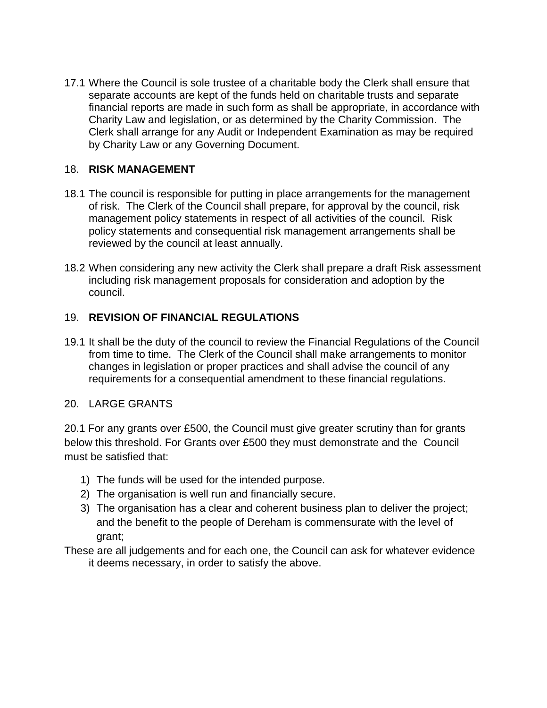17.1 Where the Council is sole trustee of a charitable body the Clerk shall ensure that separate accounts are kept of the funds held on charitable trusts and separate financial reports are made in such form as shall be appropriate, in accordance with Charity Law and legislation, or as determined by the Charity Commission. The Clerk shall arrange for any Audit or Independent Examination as may be required by Charity Law or any Governing Document.

## 18. **RISK MANAGEMENT**

- 18.1 The council is responsible for putting in place arrangements for the management of risk. The Clerk of the Council shall prepare, for approval by the council, risk management policy statements in respect of all activities of the council. Risk policy statements and consequential risk management arrangements shall be reviewed by the council at least annually.
- 18.2 When considering any new activity the Clerk shall prepare a draft Risk assessment including risk management proposals for consideration and adoption by the council.

## 19. **REVISION OF FINANCIAL REGULATIONS**

19.1 It shall be the duty of the council to review the Financial Regulations of the Council from time to time. The Clerk of the Council shall make arrangements to monitor changes in legislation or proper practices and shall advise the council of any requirements for a consequential amendment to these financial regulations.

#### 20. LARGE GRANTS

20.1 For any grants over £500, the Council must give greater scrutiny than for grants below this threshold. For Grants over £500 they must demonstrate and the Council must be satisfied that:

- 1) The funds will be used for the intended purpose.
- 2) The organisation is well run and financially secure.
- 3) The organisation has a clear and coherent business plan to deliver the project; and the benefit to the people of Dereham is commensurate with the level of grant;
- These are all judgements and for each one, the Council can ask for whatever evidence it deems necessary, in order to satisfy the above.